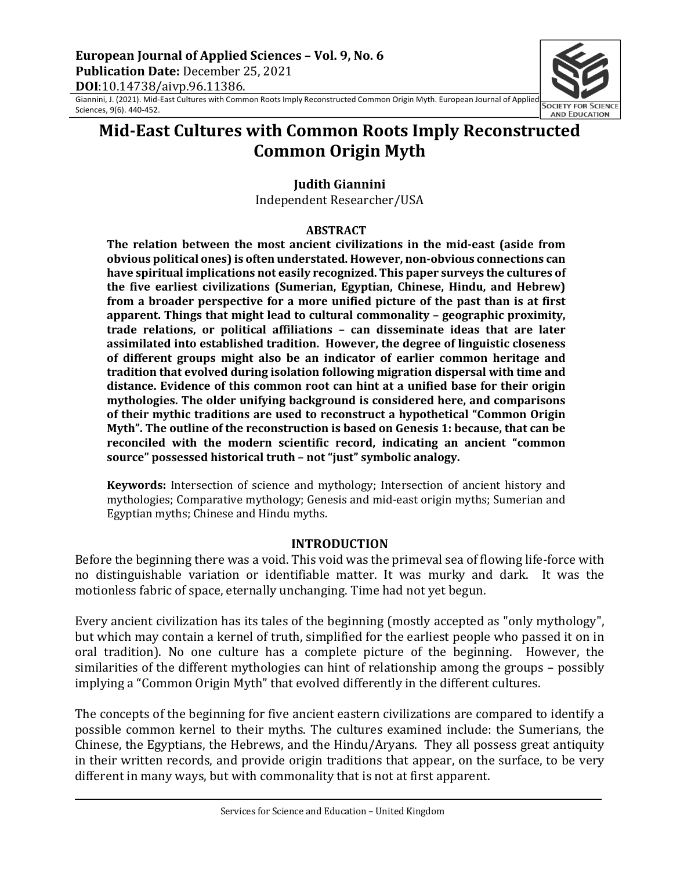

# **Mid-East Cultures with Common Roots Imply Reconstructed Common Origin Myth**

**Iudith Giannini** Independent Researcher/USA

#### **ABSTRACT**

The relation between the most ancient civilizations in the mid-east (aside from **obvious political ones) is often understated. However, non-obvious connections can** have spiritual implications not easily recognized. This paper surveys the cultures of **the five earliest civilizations (Sumerian, Egyptian, Chinese, Hindu, and Hebrew)** from a broader perspective for a more unified picture of the past than is at first apparent. Things that might lead to cultural commonality – geographic proximity, **trade relations, or political affiliations – can disseminate ideas that are later** assimilated into established tradition. However, the degree of linguistic closeness of different groups might also be an indicator of earlier common heritage and **tradition that evolved during isolation following migration dispersal with time and**  distance. Evidence of this common root can hint at a unified base for their origin mythologies. The older unifying background is considered here, and comparisons of their mythic traditions are used to reconstruct a hypothetical "Common Origin Myth". The outline of the reconstruction is based on Genesis 1: because, that can be reconciled with the modern scientific record, indicating an ancient "common **source"** possessed historical truth - not "just" symbolic analogy.

**Keywords:** Intersection of science and mythology; Intersection of ancient history and mythologies; Comparative mythology; Genesis and mid-east origin myths; Sumerian and Egyptian myths; Chinese and Hindu myths.

### **INTRODUCTION**

Before the beginning there was a void. This void was the primeval sea of flowing life-force with no distinguishable variation or identifiable matter. It was murky and dark. It was the motionless fabric of space, eternally unchanging. Time had not yet begun.

Every ancient civilization has its tales of the beginning (mostly accepted as "only mythology", but which may contain a kernel of truth, simplified for the earliest people who passed it on in oral tradition). No one culture has a complete picture of the beginning. However, the similarities of the different mythologies can hint of relationship among the groups – possibly implying a "Common Origin Myth" that evolved differently in the different cultures.

The concepts of the beginning for five ancient eastern civilizations are compared to identify a possible common kernel to their myths. The cultures examined include: the Sumerians, the Chinese, the Egyptians, the Hebrews, and the Hindu/Aryans. They all possess great antiquity in their written records, and provide origin traditions that appear, on the surface, to be very different in many ways, but with commonality that is not at first apparent.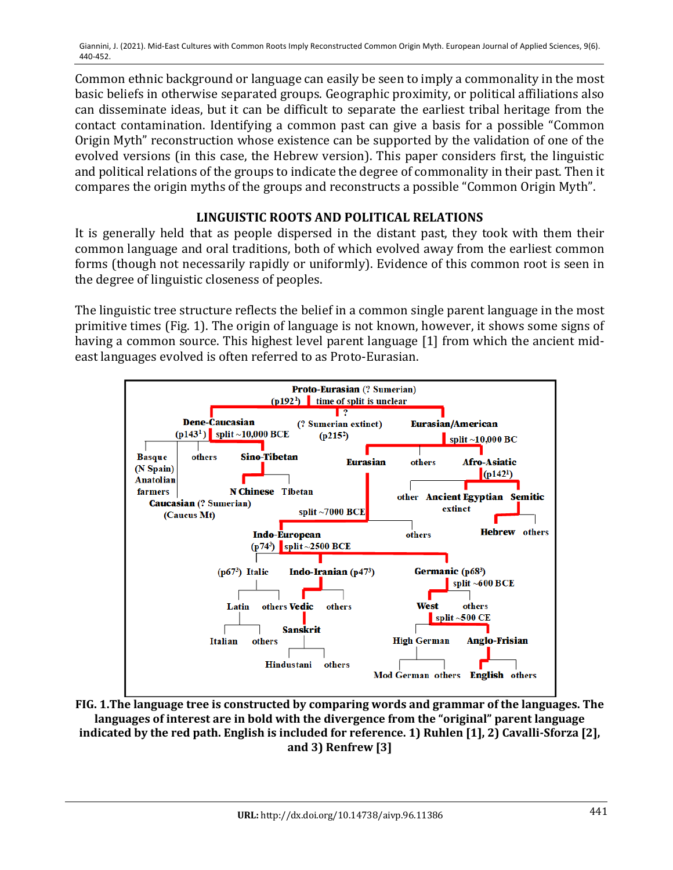Common ethnic background or language can easily be seen to imply a commonality in the most basic beliefs in otherwise separated groups. Geographic proximity, or political affiliations also can disseminate ideas, but it can be difficult to separate the earliest tribal heritage from the contact contamination. Identifying a common past can give a basis for a possible "Common Origin Myth" reconstruction whose existence can be supported by the validation of one of the evolved versions (in this case, the Hebrew version). This paper considers first, the linguistic and political relations of the groups to indicate the degree of commonality in their past. Then it compares the origin myths of the groups and reconstructs a possible "Common Origin Myth".

# **LINGUISTIC ROOTS AND POLITICAL RELATIONS**

It is generally held that as people dispersed in the distant past, they took with them their common language and oral traditions, both of which evolved away from the earliest common forms (though not necessarily rapidly or uniformly). Evidence of this common root is seen in the degree of linguistic closeness of peoples.

The linguistic tree structure reflects the belief in a common single parent language in the most primitive times (Fig. 1). The origin of language is not known, however, it shows some signs of having a common source. This highest level parent language [1] from which the ancient mideast languages evolved is often referred to as Proto-Eurasian.



FIG. 1. The language tree is constructed by comparing words and grammar of the languages. The languages of interest are in bold with the divergence from the "original" parent language indicated by the red path. English is included for reference. 1) Ruhlen [1], 2) Cavalli-Sforza [2], **and 3) Renfrew [3]**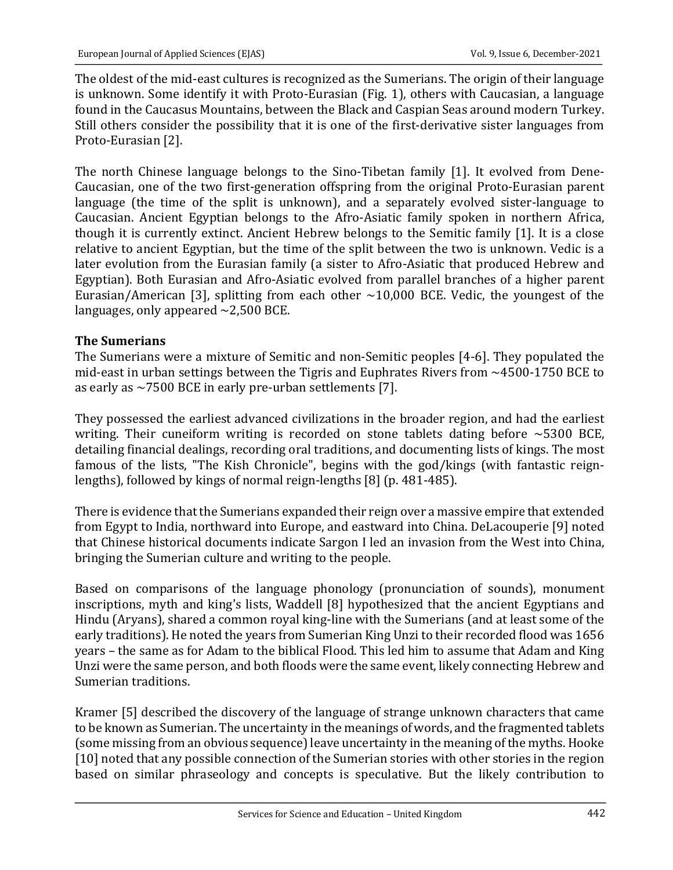The oldest of the mid-east cultures is recognized as the Sumerians. The origin of their language is unknown. Some identify it with Proto-Eurasian (Fig. 1), others with Caucasian, a language found in the Caucasus Mountains, between the Black and Caspian Seas around modern Turkey. Still others consider the possibility that it is one of the first-derivative sister languages from Proto-Eurasian [2].

The north Chinese language belongs to the Sino-Tibetan family [1]. It evolved from Dene-Caucasian, one of the two first-generation offspring from the original Proto-Eurasian parent language (the time of the split is unknown), and a separately evolved sister-language to Caucasian. Ancient Egyptian belongs to the Afro-Asiatic family spoken in northern Africa, though it is currently extinct. Ancient Hebrew belongs to the Semitic family [1]. It is a close relative to ancient Egyptian, but the time of the split between the two is unknown. Vedic is a later evolution from the Eurasian family (a sister to Afro-Asiatic that produced Hebrew and Egyptian). Both Eurasian and Afro-Asiatic evolved from parallel branches of a higher parent Eurasian/American [3], splitting from each other  $\sim 10,000$  BCE. Vedic, the youngest of the languages, only appeared  $\sim$ 2,500 BCE.

### **The Sumerians**

The Sumerians were a mixture of Semitic and non-Semitic peoples [4-6]. They populated the mid-east in urban settings between the Tigris and Euphrates Rivers from  $\sim$ 4500-1750 BCE to as early as  $\sim$ 7500 BCE in early pre-urban settlements [7].

They possessed the earliest advanced civilizations in the broader region, and had the earliest writing. Their cuneiform writing is recorded on stone tablets dating before  $\sim$ 5300 BCE, detailing financial dealings, recording oral traditions, and documenting lists of kings. The most famous of the lists, "The Kish Chronicle", begins with the god/kings (with fantastic reignlengths), followed by kings of normal reign-lengths [8] (p. 481-485).

There is evidence that the Sumerians expanded their reign over a massive empire that extended from Egypt to India, northward into Europe, and eastward into China. DeLacouperie [9] noted that Chinese historical documents indicate Sargon I led an invasion from the West into China, bringing the Sumerian culture and writing to the people.

Based on comparisons of the language phonology (pronunciation of sounds), monument inscriptions, myth and king's lists, Waddell [8] hypothesized that the ancient Egyptians and Hindu (Aryans), shared a common royal king-line with the Sumerians (and at least some of the early traditions). He noted the years from Sumerian King Unzi to their recorded flood was 1656 years - the same as for Adam to the biblical Flood. This led him to assume that Adam and King Unzi were the same person, and both floods were the same event, likely connecting Hebrew and Sumerian traditions.

Kramer [5] described the discovery of the language of strange unknown characters that came to be known as Sumerian. The uncertainty in the meanings of words, and the fragmented tablets (some missing from an obvious sequence) leave uncertainty in the meaning of the myths. Hooke [10] noted that any possible connection of the Sumerian stories with other stories in the region based on similar phraseology and concepts is speculative. But the likely contribution to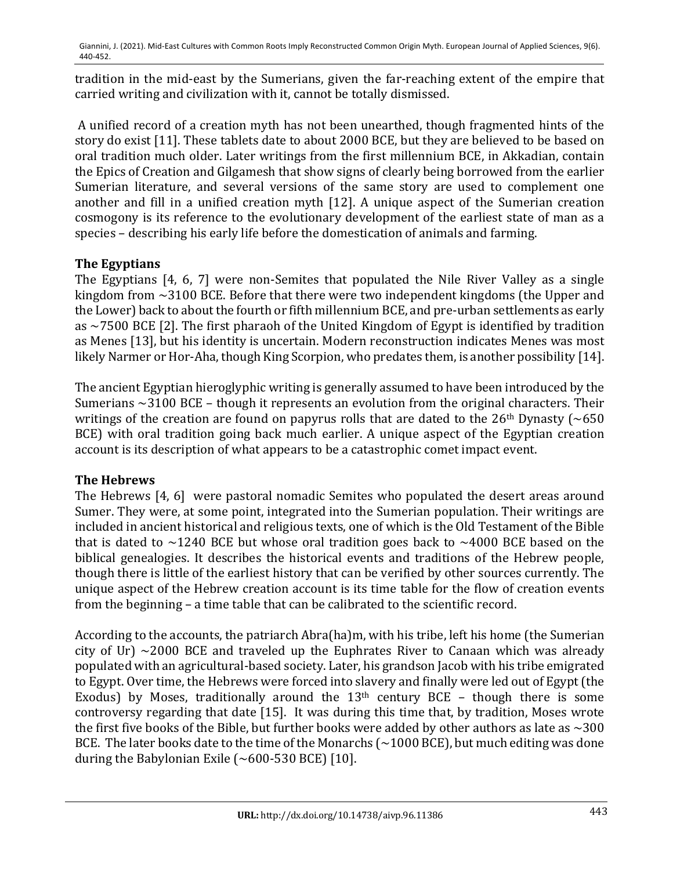tradition in the mid-east by the Sumerians, given the far-reaching extent of the empire that carried writing and civilization with it, cannot be totally dismissed.

A unified record of a creation myth has not been unearthed, though fragmented hints of the story do exist [11]. These tablets date to about 2000 BCE, but they are believed to be based on oral tradition much older. Later writings from the first millennium BCE, in Akkadian, contain the Epics of Creation and Gilgamesh that show signs of clearly being borrowed from the earlier Sumerian literature, and several versions of the same story are used to complement one another and fill in a unified creation myth  $[12]$ . A unique aspect of the Sumerian creation cosmogony is its reference to the evolutionary development of the earliest state of man as a species - describing his early life before the domestication of animals and farming.

# **The Egyptians**

The Egyptians  $[4, 6, 7]$  were non-Semites that populated the Nile River Valley as a single kingdom from  $\sim$ 3100 BCE. Before that there were two independent kingdoms (the Upper and the Lower) back to about the fourth or fifth millennium BCE, and pre-urban settlements as early as  $\sim$ 7500 BCE [2]. The first pharaoh of the United Kingdom of Egypt is identified by tradition as Menes [13], but his identity is uncertain. Modern reconstruction indicates Menes was most likely Narmer or Hor-Aha, though King Scorpion, who predates them, is another possibility [14].

The ancient Egyptian hieroglyphic writing is generally assumed to have been introduced by the Sumerians  $\sim$ 3100 BCE – though it represents an evolution from the original characters. Their writings of the creation are found on papyrus rolls that are dated to the  $26<sup>th</sup>$  Dynasty (~650) BCE) with oral tradition going back much earlier. A unique aspect of the Egyptian creation account is its description of what appears to be a catastrophic comet impact event.

### **The Hebrews**

The Hebrews  $[4, 6]$  were pastoral nomadic Semites who populated the desert areas around Sumer. They were, at some point, integrated into the Sumerian population. Their writings are included in ancient historical and religious texts, one of which is the Old Testament of the Bible that is dated to  $\sim$ 1240 BCE but whose oral tradition goes back to  $\sim$ 4000 BCE based on the biblical genealogies. It describes the historical events and traditions of the Hebrew people, though there is little of the earliest history that can be verified by other sources currently. The unique aspect of the Hebrew creation account is its time table for the flow of creation events from the beginning – a time table that can be calibrated to the scientific record.

According to the accounts, the patriarch Abra(ha)m, with his tribe, left his home (the Sumerian city of Ur)  $\sim$ 2000 BCE and traveled up the Euphrates River to Canaan which was already populated with an agricultural-based society. Later, his grandson Jacob with his tribe emigrated to Egypt. Over time, the Hebrews were forced into slavery and finally were led out of Egypt (the Exodus) by Moses, traditionally around the  $13<sup>th</sup>$  century BCE – though there is some controversy regarding that date [15]. It was during this time that, by tradition, Moses wrote the first five books of the Bible, but further books were added by other authors as late as  $\sim$  300 BCE. The later books date to the time of the Monarchs ( $\sim$ 1000 BCE), but much editing was done during the Babylonian Exile  $({\sim}600{\text -}530$  BCE) [10].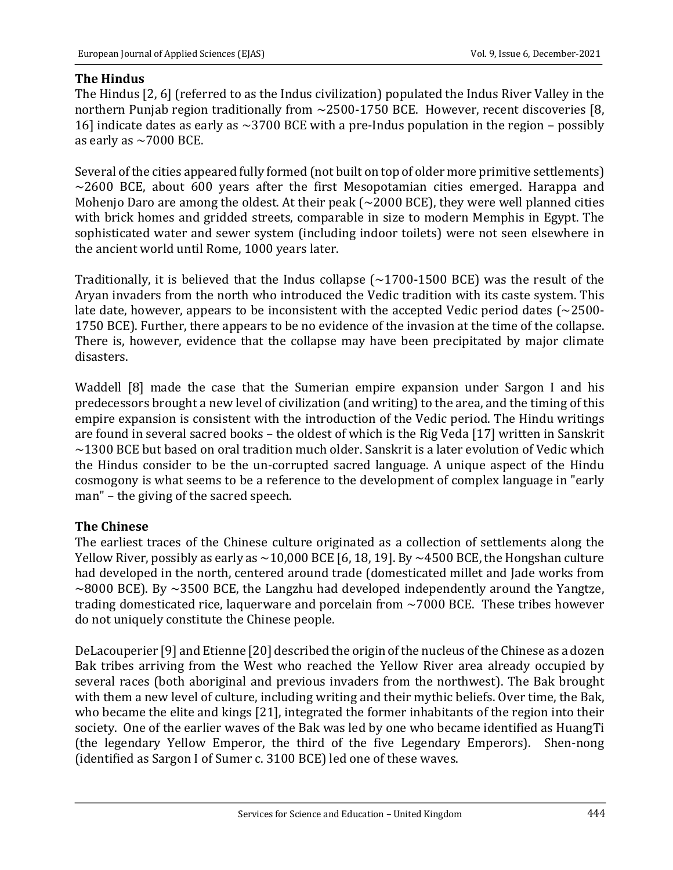### **The Hindus**

The Hindus [2, 6] (referred to as the Indus civilization) populated the Indus River Valley in the northern Punjab region traditionally from  $\sim$ 2500-1750 BCE. However, recent discoveries [8, 16] indicate dates as early as  $\sim$ 3700 BCE with a pre-Indus population in the region – possibly as early as  $\sim$  7000 BCE.

Several of the cities appeared fully formed (not built on top of older more primitive settlements)  $\sim$ 2600 BCE, about 600 years after the first Mesopotamian cities emerged. Harappa and Mohenjo Daro are among the oldest. At their peak  $\sim$  2000 BCE), they were well planned cities with brick homes and gridded streets, comparable in size to modern Memphis in Egypt. The sophisticated water and sewer system (including indoor toilets) were not seen elsewhere in the ancient world until Rome, 1000 years later.

Traditionally, it is believed that the Indus collapse  $\left(\sim 1700\textrm{-}1500\textrm{ BCE}\right)$  was the result of the Aryan invaders from the north who introduced the Vedic tradition with its caste system. This late date, however, appears to be inconsistent with the accepted Vedic period dates  $\sim$  2500-1750 BCE). Further, there appears to be no evidence of the invasion at the time of the collapse. There is, however, evidence that the collapse may have been precipitated by major climate disasters. 

Waddell [8] made the case that the Sumerian empire expansion under Sargon I and his predecessors brought a new level of civilization (and writing) to the area, and the timing of this empire expansion is consistent with the introduction of the Vedic period. The Hindu writings are found in several sacred books – the oldest of which is the Rig Veda  $[17]$  written in Sanskrit  $\sim$ 1300 BCE but based on oral tradition much older. Sanskrit is a later evolution of Vedic which the Hindus consider to be the un-corrupted sacred language. A unique aspect of the Hindu cosmogony is what seems to be a reference to the development of complex language in "early man" – the giving of the sacred speech.

### **The Chinese**

The earliest traces of the Chinese culture originated as a collection of settlements along the Yellow River, possibly as early as  $\sim$ 10,000 BCE [6, 18, 19]. By  $\sim$ 4500 BCE, the Hongshan culture had developed in the north, centered around trade (domesticated millet and Jade works from  $\sim$ 8000 BCE). By  $\sim$ 3500 BCE, the Langzhu had developed independently around the Yangtze, trading domesticated rice, laquerware and porcelain from  $\sim$ 7000 BCE. These tribes however do not uniquely constitute the Chinese people.

DeLacouperier [9] and Etienne [20] described the origin of the nucleus of the Chinese as a dozen Bak tribes arriving from the West who reached the Yellow River area already occupied by several races (both aboriginal and previous invaders from the northwest). The Bak brought with them a new level of culture, including writing and their mythic beliefs. Over time, the Bak, who became the elite and kings  $[21]$ , integrated the former inhabitants of the region into their society. One of the earlier waves of the Bak was led by one who became identified as HuangTi (the legendary Yellow Emperor, the third of the five Legendary Emperors). Shen-nong (identified as Sargon I of Sumer c. 3100 BCE) led one of these waves.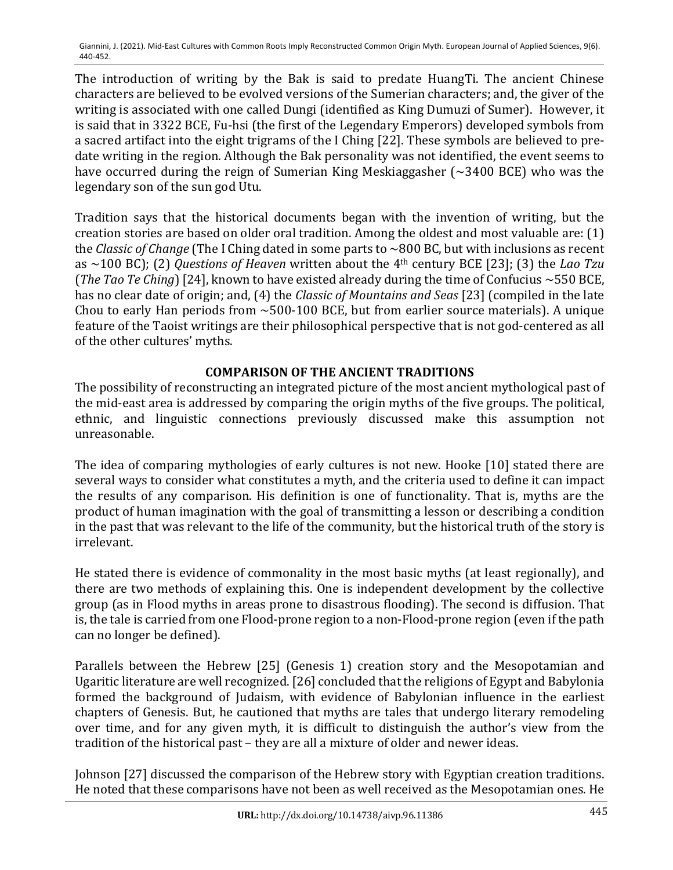The introduction of writing by the Bak is said to predate HuangTi. The ancient Chinese characters are believed to be evolved versions of the Sumerian characters; and, the giver of the writing is associated with one called Dungi (identified as King Dumuzi of Sumer). However, it is said that in 3322 BCE, Fu-hsi (the first of the Legendary Emperors) developed symbols from a sacred artifact into the eight trigrams of the I Ching [22]. These symbols are believed to predate writing in the region. Although the Bak personality was not identified, the event seems to have occurred during the reign of Sumerian King Meskiaggasher  $(~3400$  BCE) who was the legendary son of the sun god Utu.

Tradition says that the historical documents began with the invention of writing, but the creation stories are based on older oral tradition. Among the oldest and most valuable are:  $(1)$ the *Classic of Change* (The I Ching dated in some parts to ~800 BC, but with inclusions as recent as ~100 BC); (2) Questions of Heaven written about the 4<sup>th</sup> century BCE [23]; (3) the *Lao Tzu* (*The Tao Te Ching*) [24], known to have existed already during the time of Confucius  $\sim$  550 BCE, has no clear date of origin; and, (4) the *Classic of Mountains and Seas* [23] (compiled in the late Chou to early Han periods from  $\sim$  500-100 BCE, but from earlier source materials). A unique feature of the Taoist writings are their philosophical perspective that is not god-centered as all of the other cultures' myths.

# **COMPARISON OF THE ANCIENT TRADITIONS**

The possibility of reconstructing an integrated picture of the most ancient mythological past of the mid-east area is addressed by comparing the origin myths of the five groups. The political, ethnic, and linguistic connections previously discussed make this assumption not unreasonable. 

The idea of comparing mythologies of early cultures is not new. Hooke [10] stated there are several ways to consider what constitutes a myth, and the criteria used to define it can impact the results of any comparison. His definition is one of functionality. That is, myths are the product of human imagination with the goal of transmitting a lesson or describing a condition in the past that was relevant to the life of the community, but the historical truth of the story is irrelevant. 

He stated there is evidence of commonality in the most basic myths (at least regionally), and there are two methods of explaining this. One is independent development by the collective group (as in Flood myths in areas prone to disastrous flooding). The second is diffusion. That is, the tale is carried from one Flood-prone region to a non-Flood-prone region (even if the path can no longer be defined).

Parallels between the Hebrew [25] (Genesis 1) creation story and the Mesopotamian and Ugaritic literature are well recognized. [26] concluded that the religions of Egypt and Babylonia formed the background of Judaism, with evidence of Babylonian influence in the earliest chapters of Genesis. But, he cautioned that myths are tales that undergo literary remodeling over time, and for any given myth, it is difficult to distinguish the author's view from the tradition of the historical past – they are all a mixture of older and newer ideas.

Johnson [27] discussed the comparison of the Hebrew story with Egyptian creation traditions. He noted that these comparisons have not been as well received as the Mesopotamian ones. He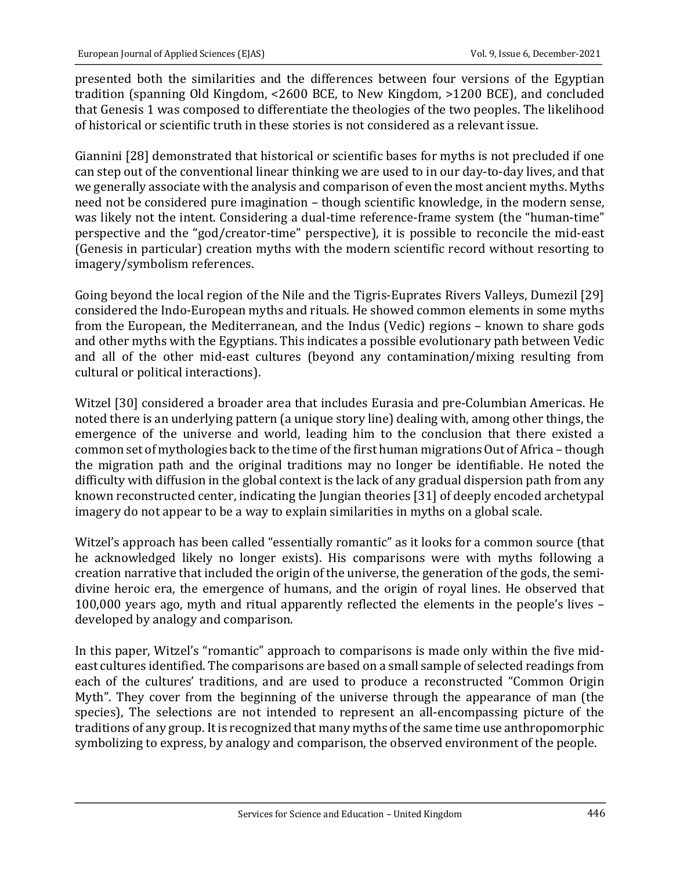presented both the similarities and the differences between four versions of the Egyptian tradition (spanning Old Kingdom, <2600 BCE, to New Kingdom, >1200 BCE), and concluded that Genesis 1 was composed to differentiate the theologies of the two peoples. The likelihood of historical or scientific truth in these stories is not considered as a relevant issue.

Giannini [28] demonstrated that historical or scientific bases for myths is not precluded if one can step out of the conventional linear thinking we are used to in our day-to-day lives, and that we generally associate with the analysis and comparison of even the most ancient myths. Myths need not be considered pure imagination – though scientific knowledge, in the modern sense, was likely not the intent. Considering a dual-time reference-frame system (the "human-time" perspective and the "god/creator-time" perspective), it is possible to reconcile the mid-east (Genesis in particular) creation myths with the modern scientific record without resorting to imagery/symbolism references.

Going beyond the local region of the Nile and the Tigris-Euprates Rivers Valleys, Dumezil [29] considered the Indo-European myths and rituals. He showed common elements in some myths from the European, the Mediterranean, and the Indus (Vedic) regions - known to share gods and other myths with the Egyptians. This indicates a possible evolutionary path between Vedic and all of the other mid-east cultures (beyond any contamination/mixing resulting from cultural or political interactions).

Witzel [30] considered a broader area that includes Eurasia and pre-Columbian Americas. He noted there is an underlying pattern (a unique story line) dealing with, among other things, the emergence of the universe and world, leading him to the conclusion that there existed a common set of mythologies back to the time of the first human migrations Out of Africa – though the migration path and the original traditions may no longer be identifiable. He noted the difficulty with diffusion in the global context is the lack of any gradual dispersion path from any known reconstructed center, indicating the Jungian theories [31] of deeply encoded archetypal imagery do not appear to be a way to explain similarities in myths on a global scale.

Witzel's approach has been called "essentially romantic" as it looks for a common source (that he acknowledged likely no longer exists). His comparisons were with myths following a creation narrative that included the origin of the universe, the generation of the gods, the semidivine heroic era, the emergence of humans, and the origin of royal lines. He observed that 100,000 years ago, myth and ritual apparently reflected the elements in the people's lives developed by analogy and comparison.

In this paper, Witzel's "romantic" approach to comparisons is made only within the five mideast cultures identified. The comparisons are based on a small sample of selected readings from each of the cultures' traditions, and are used to produce a reconstructed "Common Origin Myth". They cover from the beginning of the universe through the appearance of man (the species), The selections are not intended to represent an all-encompassing picture of the traditions of any group. It is recognized that many myths of the same time use anthropomorphic symbolizing to express, by analogy and comparison, the observed environment of the people.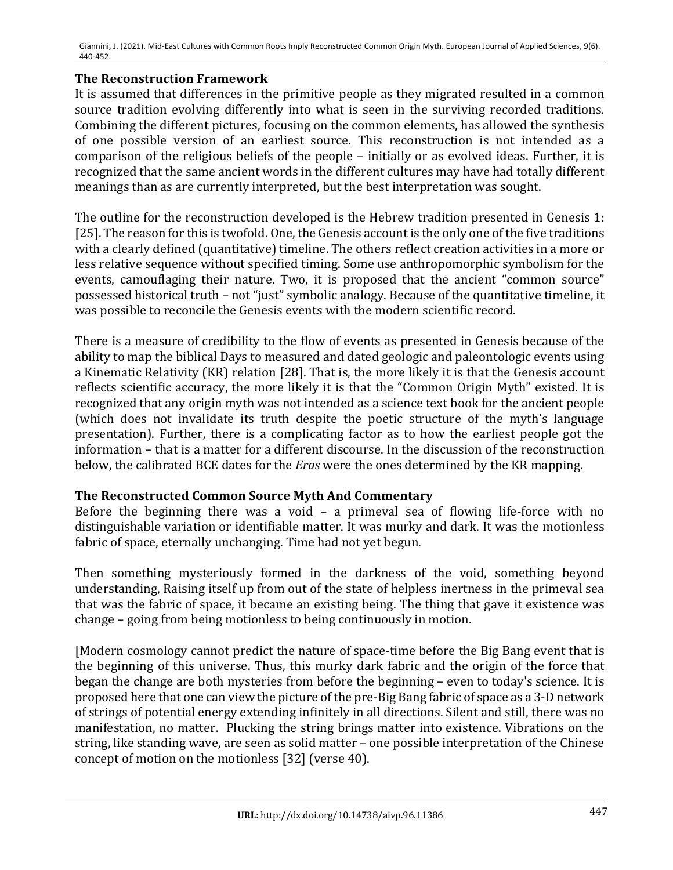#### **The Reconstruction Framework**

It is assumed that differences in the primitive people as they migrated resulted in a common source tradition evolving differently into what is seen in the surviving recorded traditions. Combining the different pictures, focusing on the common elements, has allowed the synthesis of one possible version of an earliest source. This reconstruction is not intended as a comparison of the religious beliefs of the people - initially or as evolved ideas. Further, it is recognized that the same ancient words in the different cultures may have had totally different meanings than as are currently interpreted, but the best interpretation was sought.

The outline for the reconstruction developed is the Hebrew tradition presented in Genesis 1: [25]. The reason for this is twofold. One, the Genesis account is the only one of the five traditions with a clearly defined (quantitative) timeline. The others reflect creation activities in a more or less relative sequence without specified timing. Some use anthropomorphic symbolism for the events, camouflaging their nature. Two, it is proposed that the ancient "common source" possessed historical truth - not "just" symbolic analogy. Because of the quantitative timeline, it was possible to reconcile the Genesis events with the modern scientific record.

There is a measure of credibility to the flow of events as presented in Genesis because of the ability to map the biblical Days to measured and dated geologic and paleontologic events using a Kinematic Relativity (KR) relation [28]. That is, the more likely it is that the Genesis account reflects scientific accuracy, the more likely it is that the "Common Origin Myth" existed. It is recognized that any origin myth was not intended as a science text book for the ancient people (which does not invalidate its truth despite the poetic structure of the myth's language presentation). Further, there is a complicating factor as to how the earliest people got the information – that is a matter for a different discourse. In the discussion of the reconstruction below, the calibrated BCE dates for the *Eras* were the ones determined by the KR mapping.

### **The Reconstructed Common Source Myth And Commentary**

Before the beginning there was a void – a primeval sea of flowing life-force with no distinguishable variation or identifiable matter. It was murky and dark. It was the motionless fabric of space, eternally unchanging. Time had not yet begun.

Then something mysteriously formed in the darkness of the void, something beyond understanding, Raising itself up from out of the state of helpless inertness in the primeval sea that was the fabric of space, it became an existing being. The thing that gave it existence was change – going from being motionless to being continuously in motion.

[Modern cosmology cannot predict the nature of space-time before the Big Bang event that is the beginning of this universe. Thus, this murky dark fabric and the origin of the force that began the change are both mysteries from before the beginning - even to today's science. It is proposed here that one can view the picture of the pre-Big Bang fabric of space as a 3-D network of strings of potential energy extending infinitely in all directions. Silent and still, there was no manifestation, no matter. Plucking the string brings matter into existence. Vibrations on the string, like standing wave, are seen as solid matter - one possible interpretation of the Chinese concept of motion on the motionless [32] (verse 40).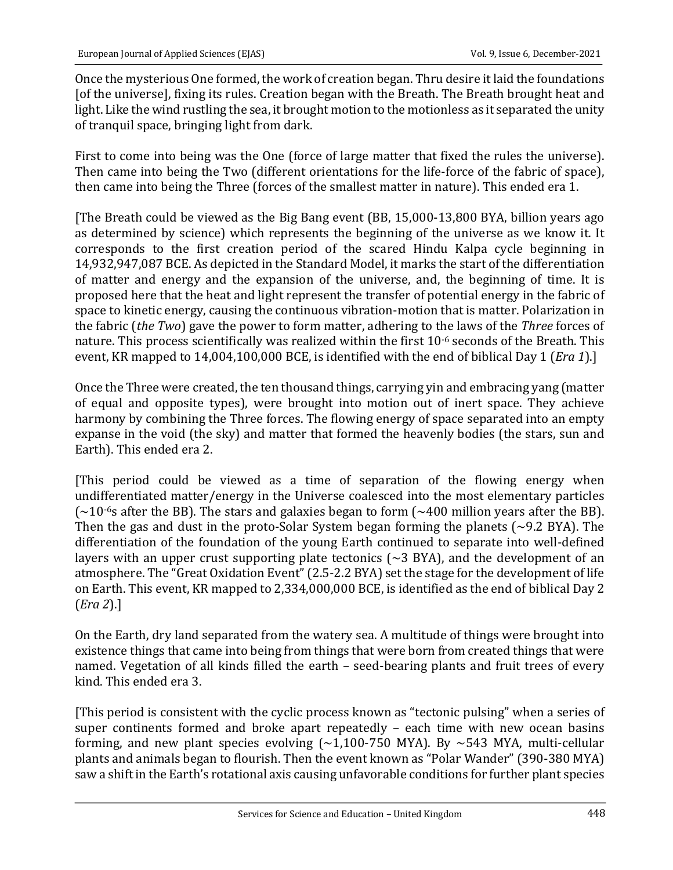Once the mysterious One formed, the work of creation began. Thru desire it laid the foundations [of the universe], fixing its rules. Creation began with the Breath. The Breath brought heat and light. Like the wind rustling the sea, it brought motion to the motionless as it separated the unity of tranquil space, bringing light from dark.

First to come into being was the One (force of large matter that fixed the rules the universe). Then came into being the Two (different orientations for the life-force of the fabric of space), then came into being the Three (forces of the smallest matter in nature). This ended era 1.

[The Breath could be viewed as the Big Bang event (BB, 15,000-13,800 BYA, billion years ago as determined by science) which represents the beginning of the universe as we know it. It corresponds to the first creation period of the scared Hindu Kalpa cycle beginning in 14,932,947,087 BCE. As depicted in the Standard Model, it marks the start of the differentiation of matter and energy and the expansion of the universe, and, the beginning of time. It is proposed here that the heat and light represent the transfer of potential energy in the fabric of space to kinetic energy, causing the continuous vibration-motion that is matter. Polarization in the fabric (*the Two*) gave the power to form matter, adhering to the laws of the *Three* forces of nature. This process scientifically was realized within the first 10<sup>-6</sup> seconds of the Breath. This event, KR mapped to 14,004,100,000 BCE, is identified with the end of biblical Day 1 (*Era 1*).]

Once the Three were created, the ten thousand things, carrying yin and embracing yang (matter of equal and opposite types), were brought into motion out of inert space. They achieve harmony by combining the Three forces. The flowing energy of space separated into an empty expanse in the void (the sky) and matter that formed the heavenly bodies (the stars, sun and Earth). This ended era 2.

[This period could be viewed as a time of separation of the flowing energy when undifferentiated matter/energy in the Universe coalesced into the most elementary particles  $(-10<sup>-6</sup>s$  after the BB). The stars and galaxies began to form  $(-400$  million years after the BB). Then the gas and dust in the proto-Solar System began forming the planets  $\sim$ 9.2 BYA). The differentiation of the foundation of the young Earth continued to separate into well-defined layers with an upper crust supporting plate tectonics  $({\sim}3$  BYA), and the development of an atmosphere. The "Great Oxidation Event" (2.5-2.2 BYA) set the stage for the development of life on Earth. This event, KR mapped to 2,334,000,000 BCE, is identified as the end of biblical Day 2 (*Era 2*).] 

On the Earth, dry land separated from the watery sea. A multitude of things were brought into existence things that came into being from things that were born from created things that were named. Vegetation of all kinds filled the earth – seed-bearing plants and fruit trees of every kind. This ended era 3.

[This period is consistent with the cyclic process known as "tectonic pulsing" when a series of super continents formed and broke apart repeatedly  $-$  each time with new ocean basins forming, and new plant species evolving  $\left(\sim 1,100-750 \text{ MYA}\right)$ . By  $\sim 543 \text{ MYA}$ , multi-cellular plants and animals began to flourish. Then the event known as "Polar Wander" (390-380 MYA) saw a shift in the Earth's rotational axis causing unfavorable conditions for further plant species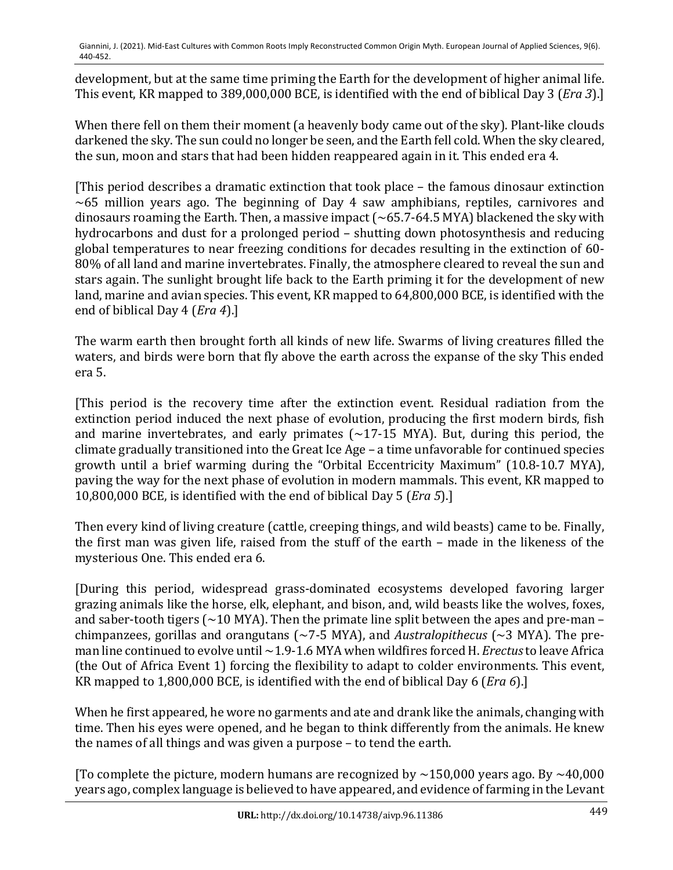development, but at the same time priming the Earth for the development of higher animal life. This event, KR mapped to  $389,000,000$  BCE, is identified with the end of biblical Day 3 (*Era 3*).]

When there fell on them their moment (a heavenly body came out of the sky). Plant-like clouds darkened the sky. The sun could no longer be seen, and the Earth fell cold. When the sky cleared, the sun, moon and stars that had been hidden reappeared again in it. This ended era 4.

[This period describes a dramatic extinction that took place – the famous dinosaur extinction  $\sim$  65 million years ago. The beginning of Day 4 saw amphibians, reptiles, carnivores and dinosaurs roaming the Earth. Then, a massive impact  $\left(\sim 65.7\text{-}64.5\text{ MYA}\right)$  blackened the sky with hydrocarbons and dust for a prolonged period  $\overline{\phantom{a}}$  shutting down photosynthesis and reducing global temperatures to near freezing conditions for decades resulting in the extinction of 60-80% of all land and marine invertebrates. Finally, the atmosphere cleared to reveal the sun and stars again. The sunlight brought life back to the Earth priming it for the development of new land, marine and avian species. This event, KR mapped to 64,800,000 BCE, is identified with the end of biblical Day 4 (*Era 4*).]

The warm earth then brought forth all kinds of new life. Swarms of living creatures filled the waters, and birds were born that fly above the earth across the expanse of the sky This ended era 5. 

[This period is the recovery time after the extinction event. Residual radiation from the  $\tilde{r}$  extinction period induced the next phase of evolution, producing the first modern birds, fish and marine invertebrates, and early primates  $(-17-15$  MYA). But, during this period, the climate gradually transitioned into the Great Ice Age – a time unfavorable for continued species growth until a brief warming during the "Orbital Eccentricity Maximum" (10.8-10.7 MYA), paving the way for the next phase of evolution in modern mammals. This event, KR mapped to 10,800,000 BCE, is identified with the end of biblical Day 5 (*Era 5*).]

Then every kind of living creature (cattle, creeping things, and wild beasts) came to be. Finally, the first man was given life, raised from the stuff of the earth - made in the likeness of the mysterious One. This ended era 6.

[During this period, widespread grass-dominated ecosystems developed favoring larger grazing animals like the horse, elk, elephant, and bison, and, wild beasts like the wolves, foxes, and saber-tooth tigers  $\sim$  10 MYA). Then the primate line split between the apes and pre-man – chimpanzees, gorillas and orangutans  $({\sim}7$ -5 MYA), and *Australopithecus* ( ${\sim}3$  MYA). The preman line continued to evolve until  $\sim$  1.9-1.6 MYA when wildfires forced H. *Erectus* to leave Africa (the Out of Africa Event 1) forcing the flexibility to adapt to colder environments. This event, KR mapped to  $1,800,000$  BCE, is identified with the end of biblical Day 6 (*Era 6*).]

When he first appeared, he wore no garments and ate and drank like the animals, changing with time. Then his eyes were opened, and he began to think differently from the animals. He knew the names of all things and was given a purpose  $-$  to tend the earth.

[To complete the picture, modern humans are recognized by  $\sim$ 150,000 years ago. By  $\sim$ 40,000 years ago, complex language is believed to have appeared, and evidence of farming in the Levant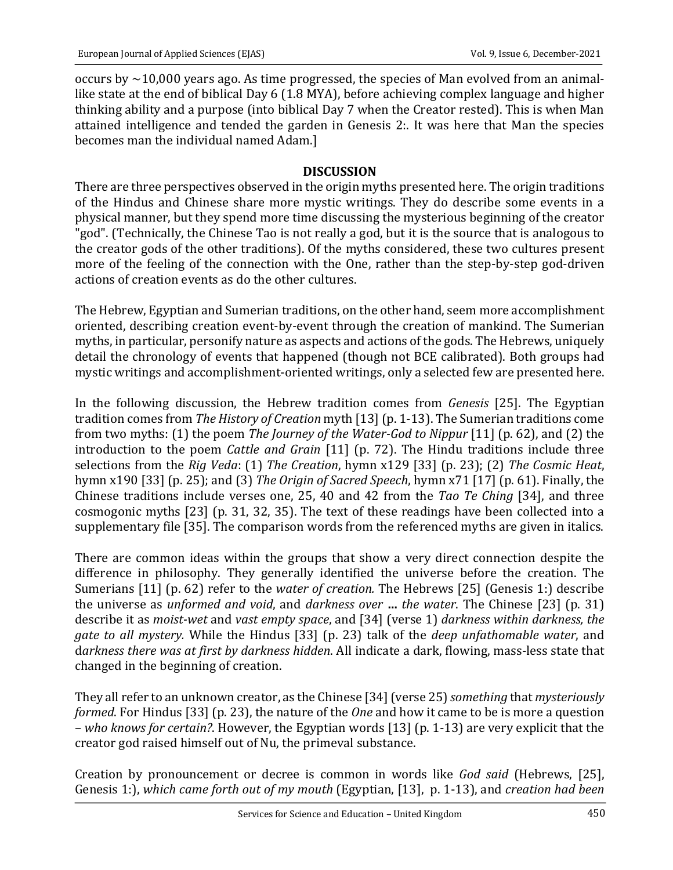occurs by  $\sim$ 10,000 years ago. As time progressed, the species of Man evolved from an animallike state at the end of biblical Day 6 (1.8 MYA), before achieving complex language and higher thinking ability and a purpose (into biblical Day 7 when the Creator rested). This is when Man attained intelligence and tended the garden in Genesis 2:. It was here that Man the species becomes man the individual named Adam.]

#### **DISCUSSION**

There are three perspectives observed in the origin myths presented here. The origin traditions of the Hindus and Chinese share more mystic writings. They do describe some events in a physical manner, but they spend more time discussing the mysterious beginning of the creator "god". (Technically, the Chinese Tao is not really a god, but it is the source that is analogous to the creator gods of the other traditions). Of the myths considered, these two cultures present more of the feeling of the connection with the One, rather than the step-by-step god-driven actions of creation events as do the other cultures.

The Hebrew, Egyptian and Sumerian traditions, on the other hand, seem more accomplishment oriented, describing creation event-by-event through the creation of mankind. The Sumerian myths, in particular, personify nature as aspects and actions of the gods. The Hebrews, uniquely detail the chronology of events that happened (though not BCE calibrated). Both groups had mystic writings and accomplishment-oriented writings, only a selected few are presented here.

In the following discussion, the Hebrew tradition comes from *Genesis* [25]. The Egyptian tradition comes from *The History of Creation* myth [13] (p. 1-13). The Sumerian traditions come from two myths: (1) the poem *The Journey of the Water-God to Nippur* [11] (p. 62), and (2) the introduction to the poem *Cattle and Grain* [11] (p. 72). The Hindu traditions include three selections from the *Rig Veda*: (1) *The Creation*, hymn x129 [33] (p. 23); (2) *The Cosmic Heat*, hymn x190 [33] (p. 25); and (3) The Origin of Sacred Speech, hymn x71 [17] (p. 61). Finally, the Chinese traditions include verses one, 25, 40 and 42 from the *Tao Te Ching* [34], and three cosmogonic myths [23] (p. 31, 32, 35). The text of these readings have been collected into a supplementary file [35]. The comparison words from the referenced myths are given in italics.

There are common ideas within the groups that show a very direct connection despite the difference in philosophy. They generally identified the universe before the creation. The Sumerians [11] (p. 62) refer to the *water of creation*. The Hebrews [25] (Genesis 1:) describe the universe as *unformed and void*, and *darkness over* ... *the water*. The Chinese [23] (p. 31) describe it as *moist-wet* and *vast empty space*, and [34] (verse 1) darkness within darkness, the *gate to all mystery.* While the Hindus [33] (p. 23) talk of the *deep unfathomable water*, and darkness there was at first by darkness hidden. All indicate a dark, flowing, mass-less state that changed in the beginning of creation.

They all refer to an unknown creator, as the Chinese [34] (verse 25) *something* that *mysteriously formed*. For Hindus [33] (p. 23), the nature of the *One* and how it came to be is more a question – who knows for certain?. However, the Egyptian words [13] (p. 1-13) are very explicit that the creator god raised himself out of Nu, the primeval substance.

Creation by pronouncement or decree is common in words like *God said* (Hebrews, [25], Genesis 1:), which came forth out of my mouth (Egyptian, [13], p. 1-13), and *creation had been*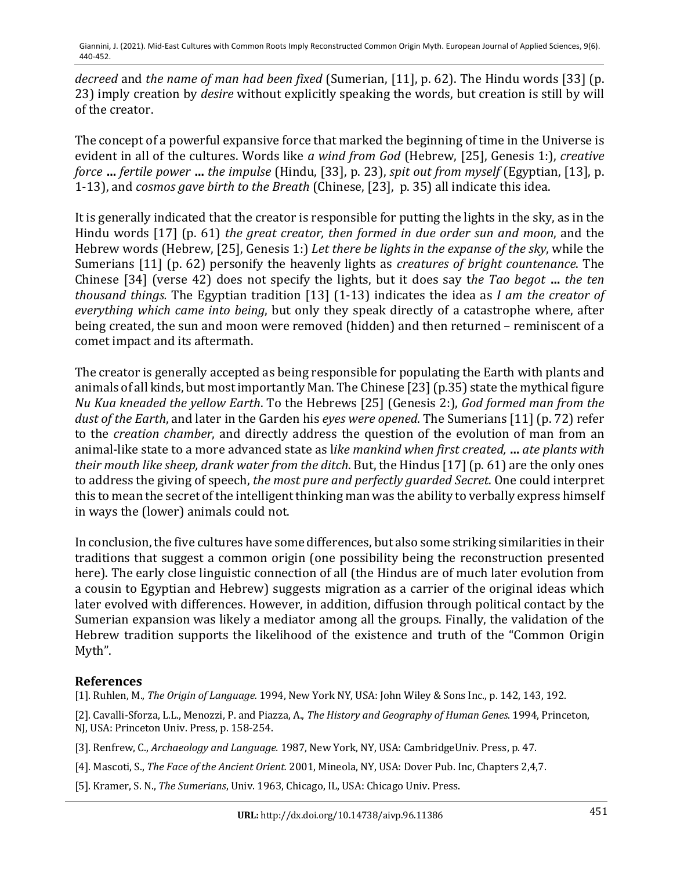*decreed* and *the name of man had been fixed* (Sumerian, [11], p. 62). The Hindu words [33] (p. 23) imply creation by *desire* without explicitly speaking the words, but creation is still by will of the creator.

The concept of a powerful expansive force that marked the beginning of time in the Universe is evident in all of the cultures. Words like a wind from God (Hebrew, [25], Genesis 1:), creative *force* … *fertile power* … *the impulse* (Hindu, [33], p. 23), *spit out from myself* (Egyptian, [13], p. 1-13), and *cosmos gave birth to the Breath* (Chinese, [23], p. 35) all indicate this idea.

It is generally indicated that the creator is responsible for putting the lights in the sky, as in the Hindu words [17] (p. 61) the great creator, then formed in due order sun and moon, and the Hebrew words (Hebrew, [25], Genesis 1:) *Let there be lights in the expanse of the sky*, while the Sumerians [11] (p. 62) personify the heavenly lights as *creatures of bright countenance*. The Chinese [34] (verse 42) does not specify the lights, but it does say the Tao begot ... the ten *thousand things.* The Egyptian tradition [13] (1-13) indicates the idea as *I am the creator of everything* which came into being, but only they speak directly of a catastrophe where, after being created, the sun and moon were removed (hidden) and then returned - reminiscent of a comet impact and its aftermath.

The creator is generally accepted as being responsible for populating the Earth with plants and animals of all kinds, but most importantly Man. The Chinese  $[23]$  (p.35) state the mythical figure *Nu Kua kneaded the yellow Earth*. To the Hebrews [25] (Genesis 2:), God formed man from the dust of the Earth, and later in the Garden his *eyes* were opened. The Sumerians [11] (p. 72) refer to the *creation chamber*, and directly address the question of the evolution of man from an animal-like state to a more advanced state as like mankind when first created, ... ate plants with *their mouth like sheep, drank water from the ditch*. But, the Hindus [17] (p. 61) are the only ones to address the giving of speech, *the most pure and perfectly guarded Secret*. One could interpret this to mean the secret of the intelligent thinking man was the ability to verbally express himself in ways the (lower) animals could not.

In conclusion, the five cultures have some differences, but also some striking similarities in their traditions that suggest a common origin (one possibility being the reconstruction presented here). The early close linguistic connection of all (the Hindus are of much later evolution from a cousin to Egyptian and Hebrew) suggests migration as a carrier of the original ideas which later evolved with differences. However, in addition, diffusion through political contact by the Sumerian expansion was likely a mediator among all the groups. Finally, the validation of the Hebrew tradition supports the likelihood of the existence and truth of the "Common Origin Myth".

### **References**

[1]. Ruhlen, M., *The Origin of Language.* 1994, New York NY, USA: John Wiley & Sons Inc., p. 142, 143, 192.

[2]. Cavalli-Sforza, L.L., Menozzi, P. and Piazza, A., *The History and Geography of Human Genes*. 1994, Princeton, NJ, USA: Princeton Univ. Press, p. 158-254.

[3]. Renfrew, C., Archaeology and Language. 1987, New York, NY, USA: CambridgeUniv. Press, p. 47.

[4]. Mascoti, S., The Face of the Ancient Orient. 2001, Mineola, NY, USA: Dover Pub. Inc, Chapters 2,4,7.

[5]. Kramer, S. N., *The Sumerians*, Univ. 1963, Chicago, IL, USA: Chicago Univ. Press.